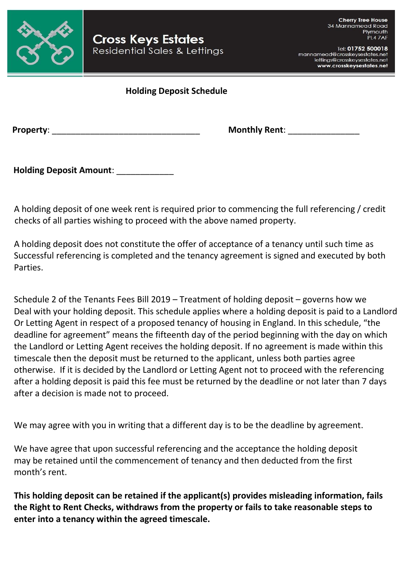

Tel: 01752 500018 mannamead@crosskeysestates.net lettings@crosskeysestates.net www.crosskeysestates.net

## **Holding Deposit Schedule**

**Property**: \_\_\_\_\_\_\_\_\_\_\_\_\_\_\_\_\_\_\_\_\_\_\_\_\_\_\_\_\_\_\_ **Monthly Rent**: \_\_\_\_\_\_\_\_\_\_\_\_\_\_\_

**Holding Deposit Amount**: \_\_\_\_\_\_\_\_\_\_\_\_

 A holding deposit of one week rent is required prior to commencing the full referencing / credit checks of all parties wishing to proceed with the above named property.

 A holding deposit does not constitute the offer of acceptance of a tenancy until such time as Successful referencing is completed and the tenancy agreement is signed and executed by both Parties.

 Schedule 2 of the Tenants Fees Bill 2019 – Treatment of holding deposit – governs how we Deal with your holding deposit. This schedule applies where a holding deposit is paid to a Landlord Or Letting Agent in respect of a proposed tenancy of housing in England. In this schedule, "the deadline for agreement" means the fifteenth day of the period beginning with the day on which the Landlord or Letting Agent receives the holding deposit. If no agreement is made within this timescale then the deposit must be returned to the applicant, unless both parties agree otherwise. If it is decided by the Landlord or Letting Agent not to proceed with the referencing after a holding deposit is paid this fee must be returned by the deadline or not later than 7 days after a decision is made not to proceed.

We may agree with you in writing that a different day is to be the deadline by agreement.

 We have agree that upon successful referencing and the acceptance the holding deposit may be retained until the commencement of tenancy and then deducted from the first month's rent.

 **This holding deposit can be retained if the applicant(s) provides misleading information, fails the Right to Rent Checks, withdraws from the property or fails to take reasonable steps to enter into a tenancy within the agreed timescale.**